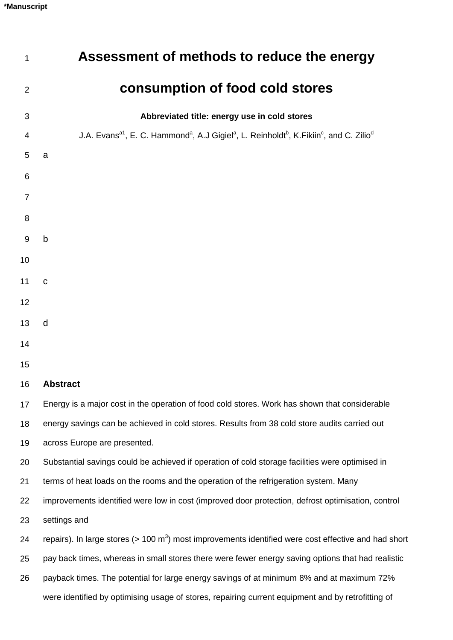| 1  | Assessment of methods to reduce the energy                                                                                                                       |
|----|------------------------------------------------------------------------------------------------------------------------------------------------------------------|
| 2  | consumption of food cold stores                                                                                                                                  |
| 3  | Abbreviated title: energy use in cold stores                                                                                                                     |
| 4  | J.A. Evans <sup>a1</sup> , E. C. Hammond <sup>a</sup> , A.J Gigiel <sup>a</sup> , L. Reinholdt <sup>b</sup> , K. Fikiin <sup>c</sup> , and C. Zilio <sup>d</sup> |
| 5  | a                                                                                                                                                                |
| 6  |                                                                                                                                                                  |
| 7  |                                                                                                                                                                  |
| 8  |                                                                                                                                                                  |
| 9  | $\mathsf b$                                                                                                                                                      |
| 10 |                                                                                                                                                                  |
| 11 | $\mathbf C$                                                                                                                                                      |
| 12 |                                                                                                                                                                  |
| 13 | d                                                                                                                                                                |
| 14 |                                                                                                                                                                  |
| 15 |                                                                                                                                                                  |
| 16 | <b>Abstract</b>                                                                                                                                                  |
| 17 | Energy is a major cost in the operation of food cold stores. Work has shown that considerable                                                                    |
| 18 | energy savings can be achieved in cold stores. Results from 38 cold store audits carried out                                                                     |
| 19 | across Europe are presented.                                                                                                                                     |
| 20 | Substantial savings could be achieved if operation of cold storage facilities were optimised in                                                                  |
| 21 | terms of heat loads on the rooms and the operation of the refrigeration system. Many                                                                             |
| 22 | improvements identified were low in cost (improved door protection, defrost optimisation, control                                                                |
| 23 | settings and                                                                                                                                                     |
| 24 | repairs). In large stores ( $> 100 \text{ m}^3$ ) most improvements identified were cost effective and had short                                                 |
| 25 | pay back times, whereas in small stores there were fewer energy saving options that had realistic                                                                |
| 26 | payback times. The potential for large energy savings of at minimum 8% and at maximum 72%                                                                        |
|    | were identified by optimising usage of stores, repairing current equipment and by retrofitting of                                                                |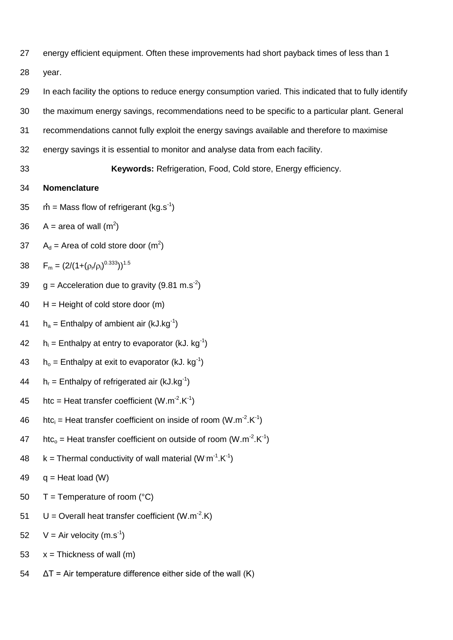27 energy efficient equipment. Often these improvements had short payback times of less than 1

28 year.

- 29 In each facility the options to reduce energy consumption varied. This indicated that to fully identify
- 30 the maximum energy savings, recommendations need to be specific to a particular plant. General
- 31 recommendations cannot fully exploit the energy savings available and therefore to maximise
- 32 energy savings it is essential to monitor and analyse data from each facility.
- 

33 **Keywords:** Refrigeration, Food, Cold store, Energy efficiency.

### 34 **Nomenclature**

- 35  $\dot{m}$  = Mass flow of refrigerant (kg.s<sup>-1</sup>)
- 36  $A = \text{area of wall } (m^2)$
- 37  $A_d$  = Area of cold store door (m<sup>2</sup>)
- 38  $F_m = (2/(1+(\rho_r/\rho_i)^{0.333}))^{1.5}$
- 39  $g =$  Acceleration due to gravity (9.81 m.s<sup>-2</sup>)
- $40$  H = Height of cold store door  $(m)$
- 41  $h_a =$  Enthalpy of ambient air (kJ.kg<sup>-1</sup>)
- 42  $h_i =$  Enthalpy at entry to evaporator (kJ. kg<sup>-1</sup>)
- 43  $h_0 =$  Enthalpy at exit to evaporator (kJ. kg<sup>-1</sup>)
- 44  $h_r =$  Enthalpy of refrigerated air (kJ.kg<sup>-1</sup>)
- 45 htc = Heat transfer coefficient  $(W.m^{-2}.K^{-1})$
- 46 htc<sub>i</sub> = Heat transfer coefficient on inside of room  $(W.m^{-2}.K^{-1})$
- 47 htc<sub>o</sub> = Heat transfer coefficient on outside of room (W.m<sup>-2</sup>.K<sup>-1</sup>)
- 48  $k =$  Thermal conductivity of wall material (W m<sup>-1</sup>.K<sup>-1</sup>)
- 49  $q =$  Heat load (W)
- 50  $T =$  Temperature of room ( $^{\circ}$ C)
- 51  $U =$  Overall heat transfer coefficient (W.m<sup>-2</sup>.K)
- 52  $V = Air velocity (m.s<sup>-1</sup>)$
- 53  $x = Thickness of wall (m)$
- $54 \quad \Delta T$  = Air temperature difference either side of the wall (K)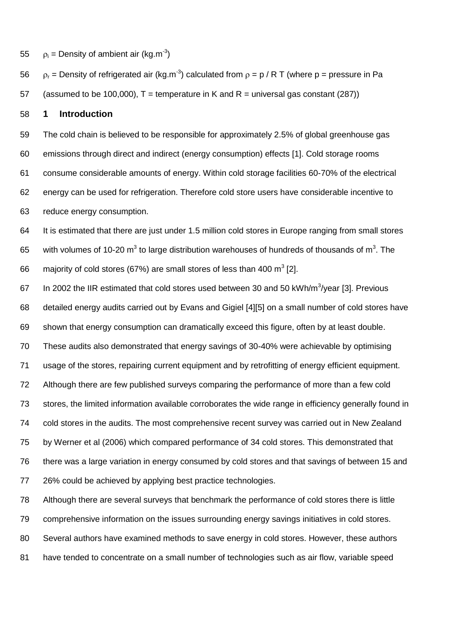55  $\rho_i$  = Density of ambient air (kg.m<sup>-3</sup>)

56  $\rho_r$  = Density of refrigerated air (kg.m<sup>-3</sup>) calculated from  $\rho = p / R T$  (where p = pressure in Pa

57 (assumed to be 100,000),  $T =$  temperature in K and R = universal gas constant (287))

### **1 Introduction**

 The cold chain is believed to be responsible for approximately 2.5% of global greenhouse gas emissions through direct and indirect (energy consumption) effects [1]. Cold storage rooms consume considerable amounts of energy. Within cold storage facilities 60-70% of the electrical energy can be used for refrigeration. Therefore cold store users have considerable incentive to reduce energy consumption.

 It is estimated that there are just under 1.5 million cold stores in Europe ranging from small stores 65 vith volumes of 10-20 m<sup>3</sup> to large distribution warehouses of hundreds of thousands of m<sup>3</sup>. The 66 majority of cold stores (67%) are small stores of less than 400 m<sup>3</sup> [2].

67 In 2002 the IIR estimated that cold stores used between 30 and 50 kWh/m<sup>3</sup>/year [3]. Previous detailed energy audits carried out by Evans and Gigiel [4][5] on a small number of cold stores have shown that energy consumption can dramatically exceed this figure, often by at least double. These audits also demonstrated that energy savings of 30-40% were achievable by optimising usage of the stores, repairing current equipment and by retrofitting of energy efficient equipment. Although there are few published surveys comparing the performance of more than a few cold stores, the limited information available corroborates the wide range in efficiency generally found in cold stores in the audits. The most comprehensive recent survey was carried out in New Zealand by Werner et al (2006) which compared performance of 34 cold stores. This demonstrated that there was a large variation in energy consumed by cold stores and that savings of between 15 and 26% could be achieved by applying best practice technologies.

 Although there are several surveys that benchmark the performance of cold stores there is little comprehensive information on the issues surrounding energy savings initiatives in cold stores. Several authors have examined methods to save energy in cold stores. However, these authors have tended to concentrate on a small number of technologies such as air flow, variable speed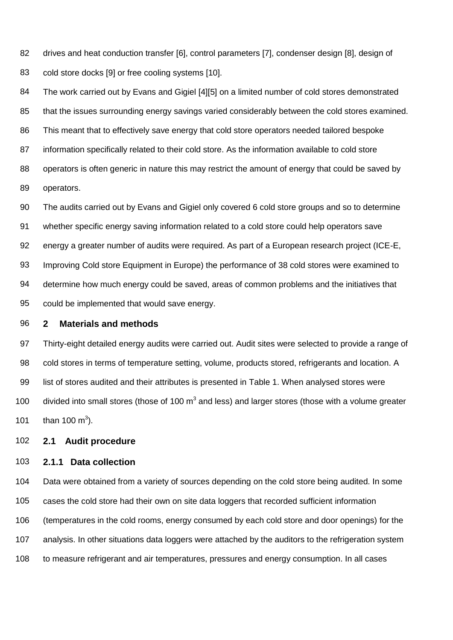82 83 drives and heat conduction transfer [6], control parameters [7], condenser design [8], design of cold store docks [9] or free cooling systems [10].

84 85 86 87 88 89 The work carried out by Evans and Gigiel [4][5] on a limited number of cold stores demonstrated that the issues surrounding energy savings varied considerably between the cold stores examined. This meant that to effectively save energy that cold store operators needed tailored bespoke information specifically related to their cold store. As the information available to cold store operators is often generic in nature this may restrict the amount of energy that could be saved by operators.

90 91 92 93 94 95 The audits carried out by Evans and Gigiel only covered 6 cold store groups and so to determine whether specific energy saving information related to a cold store could help operators save energy a greater number of audits were required. As part of a European research project (ICE-E, Improving Cold store Equipment in Europe) the performance of 38 cold stores were examined to determine how much energy could be saved, areas of common problems and the initiatives that could be implemented that would save energy.

#### 96 **2 Materials and methods**

97 98 99 100 101 Thirty-eight detailed energy audits were carried out. Audit sites were selected to provide a range of cold stores in terms of temperature setting, volume, products stored, refrigerants and location. A list of stores audited and their attributes is presented in Table 1. When analysed stores were divided into small stores (those of 100  $m^3$  and less) and larger stores (those with a volume greater than 100 m<sup>3</sup>).

### 102 **2.1 Audit procedure**

### 103 **2.1.1 Data collection**

104 105 106 107 Data were obtained from a variety of sources depending on the cold store being audited. In some cases the cold store had their own on site data loggers that recorded sufficient information (temperatures in the cold rooms, energy consumed by each cold store and door openings) for the analysis. In other situations data loggers were attached by the auditors to the refrigeration system 108 to measure refrigerant and air temperatures, pressures and energy consumption. In all cases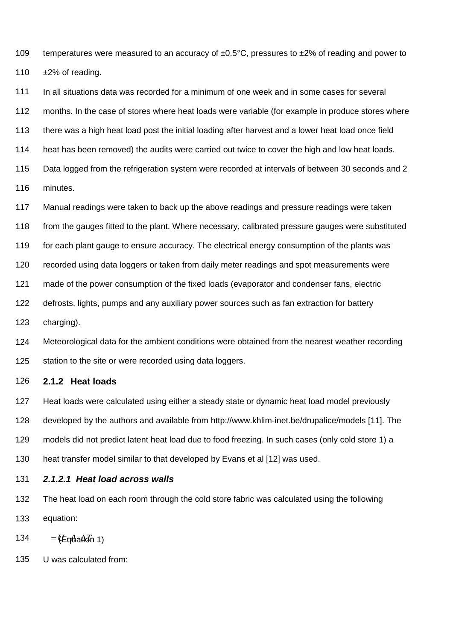109 110 temperatures were measured to an accuracy of  $\pm 0.5^{\circ}$ C, pressures to  $\pm 2\%$  of reading and power to ±2% of reading.

111 112 113 114 115 116 In all situations data was recorded for a minimum of one week and in some cases for several months. In the case of stores where heat loads were variable (for example in produce stores where there was a high heat load post the initial loading after harvest and a lower heat load once field heat has been removed) the audits were carried out twice to cover the high and low heat loads. Data logged from the refrigeration system were recorded at intervals of between 30 seconds and 2 minutes.

117 118 119 120 121 122 123 Manual readings were taken to back up the above readings and pressure readings were taken from the gauges fitted to the plant. Where necessary, calibrated pressure gauges were substituted for each plant gauge to ensure accuracy. The electrical energy consumption of the plants was recorded using data loggers or taken from daily meter readings and spot measurements were made of the power consumption of the fixed loads (evaporator and condenser fans, electric defrosts, lights, pumps and any auxiliary power sources such as fan extraction for battery charging).

124 125 Meteorological data for the ambient conditions were obtained from the nearest weather recording station to the site or were recorded using data loggers.

### 126 **2.1.2 Heat loads**

127 128 129 130 Heat loads were calculated using either a steady state or dynamic heat load model previously developed by the authors and available from http://www.khlim-inet.be/drupalice/models [11]. The models did not predict latent heat load due to food freezing. In such cases (only cold store 1) a heat transfer model similar to that developed by Evans et al [12] was used.

### 131 *2.1.2.1 Heat load across walls*

132 133 The heat load on each room through the cold store fabric was calculated using the following equation:

134 *TAU q* (Equation 1)

135 U was calculated from: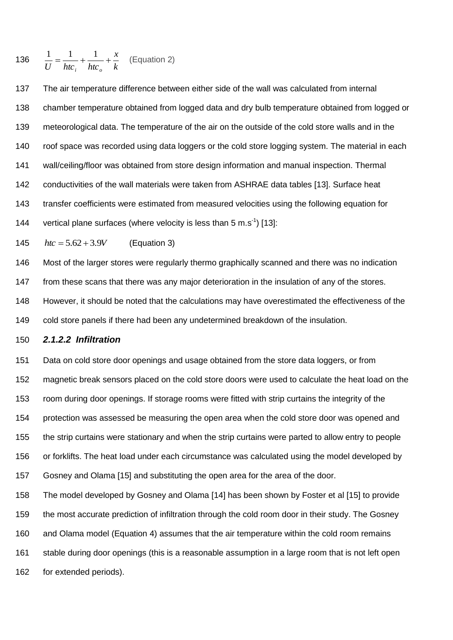136 
$$
\frac{1}{U} = \frac{1}{htc_i} + \frac{1}{htc_o} + \frac{x}{k}
$$
 (Equation 2)

 The air temperature difference between either side of the wall was calculated from internal chamber temperature obtained from logged data and dry bulb temperature obtained from logged or meteorological data. The temperature of the air on the outside of the cold store walls and in the roof space was recorded using data loggers or the cold store logging system. The material in each wall/ceiling/floor was obtained from store design information and manual inspection. Thermal conductivities of the wall materials were taken from ASHRAE data tables [13]. Surface heat transfer coefficients were estimated from measured velocities using the following equation for 144 vertical plane surfaces (where velocity is less than  $5 \text{ m.s}^{-1}$ ) [13]:

  $htc = 5.62 + 3.9V$ (Equation 3)

Most of the larger stores were regularly thermo graphically scanned and there was no indication

from these scans that there was any major deterioration in the insulation of any of the stores.

However, it should be noted that the calculations may have overestimated the effectiveness of the

cold store panels if there had been any undetermined breakdown of the insulation.

### *2.1.2.2 Infiltration*

 Data on cold store door openings and usage obtained from the store data loggers, or from magnetic break sensors placed on the cold store doors were used to calculate the heat load on the room during door openings. If storage rooms were fitted with strip curtains the integrity of the protection was assessed be measuring the open area when the cold store door was opened and the strip curtains were stationary and when the strip curtains were parted to allow entry to people or forklifts. The heat load under each circumstance was calculated using the model developed by Gosney and Olama [15] and substituting the open area for the area of the door.

 The model developed by Gosney and Olama [14] has been shown by Foster et al [15] to provide the most accurate prediction of infiltration through the cold room door in their study. The Gosney and Olama model (Equation 4) assumes that the air temperature within the cold room remains 161 stable during door openings (this is a reasonable assumption in a large room that is not left open for extended periods).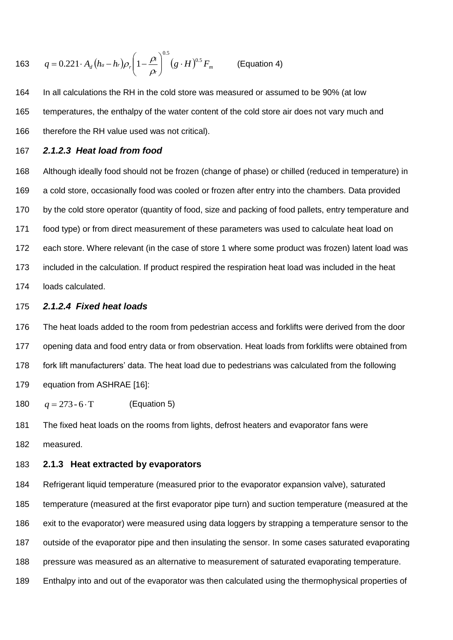163 
$$
q = 0.221 \cdot A_d (h_a - h_r) \rho_r \left(1 - \frac{\rho_i}{\rho_r}\right)^{0.5} (g \cdot H)^{0.5} F_m
$$
 (Equation 4)

164 In all calculations the RH in the cold store was measured or assumed to be 90% (at low 165 temperatures, the enthalpy of the water content of the cold store air does not vary much and 166 therefore the RH value used was not critical).

167 *2.1.2.3 Heat load from food* 

 Although ideally food should not be frozen (change of phase) or chilled (reduced in temperature) in a cold store, occasionally food was cooled or frozen after entry into the chambers. Data provided by the cold store operator (quantity of food, size and packing of food pallets, entry temperature and food type) or from direct measurement of these parameters was used to calculate heat load on each store. Where relevant (in the case of store 1 where some product was frozen) latent load was included in the calculation. If product respired the respiration heat load was included in the heat loads calculated.

### 175 *2.1.2.4 Fixed heat loads*

 The heat loads added to the room from pedestrian access and forklifts were derived from the door opening data and food entry data or from observation. Heat loads from forklifts were obtained from fork lift manufacturers' data. The heat load due to pedestrians was calculated from the following equation from ASHRAE [16]:

180  $q = 273 - 6 \cdot T$ (Equation 5)

181 The fixed heat loads on the rooms from lights, defrost heaters and evaporator fans were 182 measured.

### 183 **2.1.3 Heat extracted by evaporators**

 Refrigerant liquid temperature (measured prior to the evaporator expansion valve), saturated temperature (measured at the first evaporator pipe turn) and suction temperature (measured at the exit to the evaporator) were measured using data loggers by strapping a temperature sensor to the outside of the evaporator pipe and then insulating the sensor. In some cases saturated evaporating pressure was measured as an alternative to measurement of saturated evaporating temperature. Enthalpy into and out of the evaporator was then calculated using the thermophysical properties of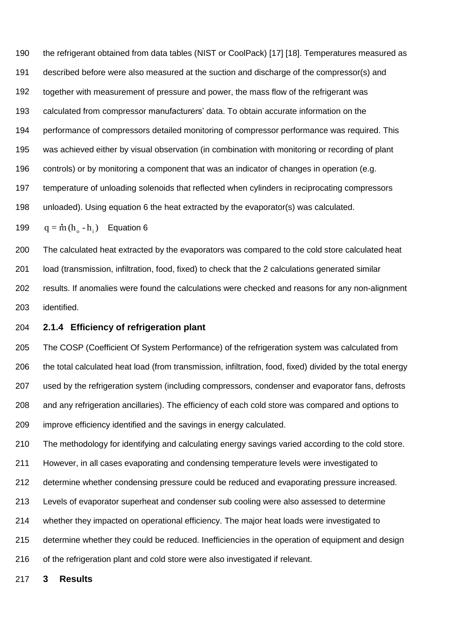the refrigerant obtained from data tables (NIST or CoolPack) [17] [18]. Temperatures measured as described before were also measured at the suction and discharge of the compressor(s) and together with measurement of pressure and power, the mass flow of the refrigerant was calculated from compressor manufacturers' data. To obtain accurate information on the performance of compressors detailed monitoring of compressor performance was required. This was achieved either by visual observation (in combination with monitoring or recording of plant controls) or by monitoring a component that was an indicator of changes in operation (e.g. temperature of unloading solenoids that reflected when cylinders in reciprocating compressors unloaded). Using equation 6 the heat extracted by the evaporator(s) was calculated.  $q = m(h_o - h_i)$  Equation 6 

 The calculated heat extracted by the evaporators was compared to the cold store calculated heat load (transmission, infiltration, food, fixed) to check that the 2 calculations generated similar results. If anomalies were found the calculations were checked and reasons for any non-alignment

identified.

### **2.1.4 Efficiency of refrigeration plant**

 The COSP (Coefficient Of System Performance) of the refrigeration system was calculated from the total calculated heat load (from transmission, infiltration, food, fixed) divided by the total energy used by the refrigeration system (including compressors, condenser and evaporator fans, defrosts and any refrigeration ancillaries). The efficiency of each cold store was compared and options to improve efficiency identified and the savings in energy calculated.

 The methodology for identifying and calculating energy savings varied according to the cold store. However, in all cases evaporating and condensing temperature levels were investigated to determine whether condensing pressure could be reduced and evaporating pressure increased. Levels of evaporator superheat and condenser sub cooling were also assessed to determine whether they impacted on operational efficiency. The major heat loads were investigated to determine whether they could be reduced. Inefficiencies in the operation of equipment and design of the refrigeration plant and cold store were also investigated if relevant.

**3 Results**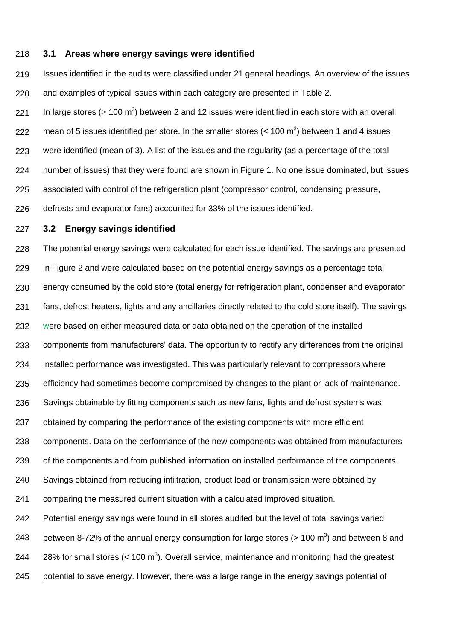#### 218 **3.1 Areas where energy savings were identified**

219 220 Issues identified in the audits were classified under 21 general headings. An overview of the issues and examples of typical issues within each category are presented in Table 2.

221 222 223 224 225 226 In large stores ( $> 100 \text{ m}^3$ ) between 2 and 12 issues were identified in each store with an overall mean of 5 issues identified per store. In the smaller stores  $(< 100 \text{ m}^3)$  between 1 and 4 issues were identified (mean of 3). A list of the issues and the regularity (as a percentage of the total number of issues) that they were found are shown in Figure 1. No one issue dominated, but issues associated with control of the refrigeration plant (compressor control, condensing pressure, defrosts and evaporator fans) accounted for 33% of the issues identified.

#### 227 **3.2 Energy savings identified**

228 229 230 231 232 233 234 235 236 237 238 239 240 241 242 243 244 The potential energy savings were calculated for each issue identified. The savings are presented in Figure 2 and were calculated based on the potential energy savings as a percentage total energy consumed by the cold store (total energy for refrigeration plant, condenser and evaporator fans, defrost heaters, lights and any ancillaries directly related to the cold store itself). The savings were based on either measured data or data obtained on the operation of the installed components from manufacturers' data. The opportunity to rectify any differences from the original installed performance was investigated. This was particularly relevant to compressors where efficiency had sometimes become compromised by changes to the plant or lack of maintenance. Savings obtainable by fitting components such as new fans, lights and defrost systems was obtained by comparing the performance of the existing components with more efficient components. Data on the performance of the new components was obtained from manufacturers of the components and from published information on installed performance of the components. Savings obtained from reducing infiltration, product load or transmission were obtained by comparing the measured current situation with a calculated improved situation. Potential energy savings were found in all stores audited but the level of total savings varied between 8-72% of the annual energy consumption for large stores ( $> 100 \text{ m}^3$ ) and between 8 and 28% for small stores  $(< 100 \text{ m}^3)$ . Overall service, maintenance and monitoring had the greatest 245 potential to save energy. However, there was a large range in the energy savings potential of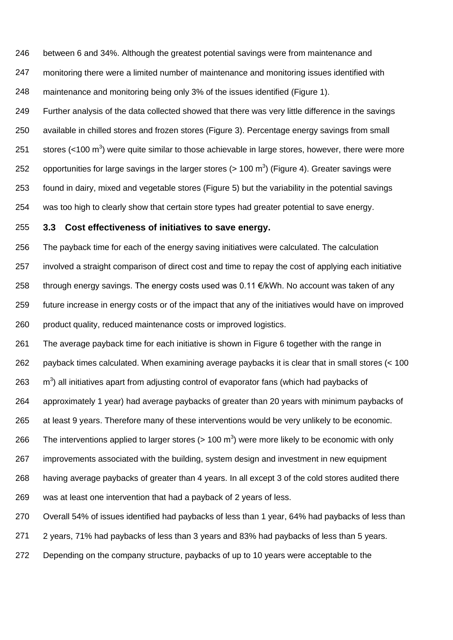246 between 6 and 34%. Although the greatest potential savings were from maintenance and

247 248 monitoring there were a limited number of maintenance and monitoring issues identified with maintenance and monitoring being only 3% of the issues identified (Figure 1).

249 250 251 252 253 254 Further analysis of the data collected showed that there was very little difference in the savings available in chilled stores and frozen stores (Figure 3). Percentage energy savings from small stores (<100  $m^3$ ) were quite similar to those achievable in large stores, however, there were more opportunities for large savings in the larger stores (> 100 m<sup>3</sup>) (Figure 4). Greater savings were found in dairy, mixed and vegetable stores (Figure 5) but the variability in the potential savings was too high to clearly show that certain store types had greater potential to save energy.

### 255 **3.3 Cost effectiveness of initiatives to save energy.**

256 257 258 259 260 The payback time for each of the energy saving initiatives were calculated. The calculation involved a straight comparison of direct cost and time to repay the cost of applying each initiative through energy savings. The energy costs used was  $0.11 \in kWW$ h. No account was taken of any future increase in energy costs or of the impact that any of the initiatives would have on improved product quality, reduced maintenance costs or improved logistics.

261 262 263 264 265 266 267 268 269 The average payback time for each initiative is shown in Figure 6 together with the range in payback times calculated. When examining average paybacks it is clear that in small stores (< 100 m<sup>3</sup>) all initiatives apart from adjusting control of evaporator fans (which had paybacks of approximately 1 year) had average paybacks of greater than 20 years with minimum paybacks of at least 9 years. Therefore many of these interventions would be very unlikely to be economic. The interventions applied to larger stores ( $> 100 \text{ m}^3$ ) were more likely to be economic with only improvements associated with the building, system design and investment in new equipment having average paybacks of greater than 4 years. In all except 3 of the cold stores audited there was at least one intervention that had a payback of 2 years of less.

270 Overall 54% of issues identified had paybacks of less than 1 year, 64% had paybacks of less than

271 2 years, 71% had paybacks of less than 3 years and 83% had paybacks of less than 5 years.

272 Depending on the company structure, paybacks of up to 10 years were acceptable to the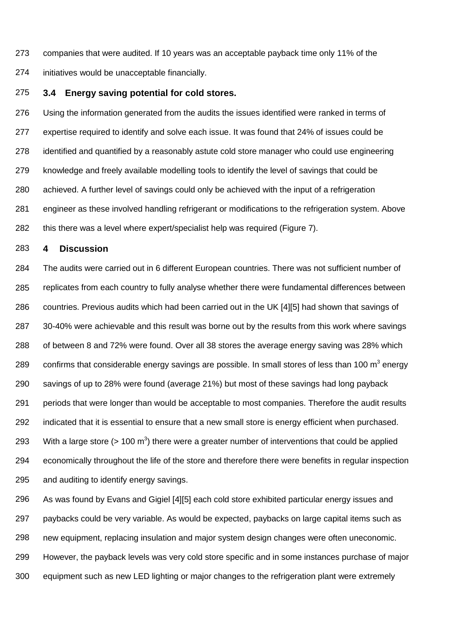273 companies that were audited. If 10 years was an acceptable payback time only 11% of the

274 initiatives would be unacceptable financially.

### 275 **3.4 Energy saving potential for cold stores.**

276 277 278 279 280 281 282 Using the information generated from the audits the issues identified were ranked in terms of expertise required to identify and solve each issue. It was found that 24% of issues could be identified and quantified by a reasonably astute cold store manager who could use engineering knowledge and freely available modelling tools to identify the level of savings that could be achieved. A further level of savings could only be achieved with the input of a refrigeration engineer as these involved handling refrigerant or modifications to the refrigeration system. Above this there was a level where expert/specialist help was required (Figure 7).

### 283 **4 Discussion**

284 285 286 287 288 289 290 291 292 293 294 295 The audits were carried out in 6 different European countries. There was not sufficient number of replicates from each country to fully analyse whether there were fundamental differences between countries. Previous audits which had been carried out in the UK [4][5] had shown that savings of 30-40% were achievable and this result was borne out by the results from this work where savings of between 8 and 72% were found. Over all 38 stores the average energy saving was 28% which confirms that considerable energy savings are possible. In small stores of less than 100  $m^3$  energy savings of up to 28% were found (average 21%) but most of these savings had long payback periods that were longer than would be acceptable to most companies. Therefore the audit results indicated that it is essential to ensure that a new small store is energy efficient when purchased. With a large store ( $> 100 \text{ m}^3$ ) there were a greater number of interventions that could be applied economically throughout the life of the store and therefore there were benefits in regular inspection and auditing to identify energy savings.

296 297 298 299 As was found by Evans and Gigiel [4][5] each cold store exhibited particular energy issues and paybacks could be very variable. As would be expected, paybacks on large capital items such as new equipment, replacing insulation and major system design changes were often uneconomic. However, the payback levels was very cold store specific and in some instances purchase of major 300 equipment such as new LED lighting or major changes to the refrigeration plant were extremely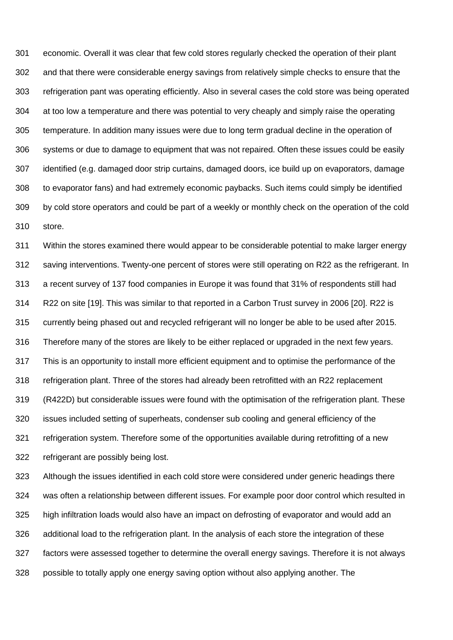economic. Overall it was clear that few cold stores regularly checked the operation of their plant and that there were considerable energy savings from relatively simple checks to ensure that the refrigeration pant was operating efficiently. Also in several cases the cold store was being operated at too low a temperature and there was potential to very cheaply and simply raise the operating temperature. In addition many issues were due to long term gradual decline in the operation of systems or due to damage to equipment that was not repaired. Often these issues could be easily identified (e.g. damaged door strip curtains, damaged doors, ice build up on evaporators, damage to evaporator fans) and had extremely economic paybacks. Such items could simply be identified by cold store operators and could be part of a weekly or monthly check on the operation of the cold store.

 Within the stores examined there would appear to be considerable potential to make larger energy saving interventions. Twenty-one percent of stores were still operating on R22 as the refrigerant. In a recent survey of 137 food companies in Europe it was found that 31% of respondents still had R22 on site [19]. This was similar to that reported in a Carbon Trust survey in 2006 [20]. R22 is currently being phased out and recycled refrigerant will no longer be able to be used after 2015. Therefore many of the stores are likely to be either replaced or upgraded in the next few years. This is an opportunity to install more efficient equipment and to optimise the performance of the refrigeration plant. Three of the stores had already been retrofitted with an R22 replacement (R422D) but considerable issues were found with the optimisation of the refrigeration plant. These issues included setting of superheats, condenser sub cooling and general efficiency of the refrigeration system. Therefore some of the opportunities available during retrofitting of a new refrigerant are possibly being lost.

 Although the issues identified in each cold store were considered under generic headings there was often a relationship between different issues. For example poor door control which resulted in high infiltration loads would also have an impact on defrosting of evaporator and would add an additional load to the refrigeration plant. In the analysis of each store the integration of these factors were assessed together to determine the overall energy savings. Therefore it is not always possible to totally apply one energy saving option without also applying another. The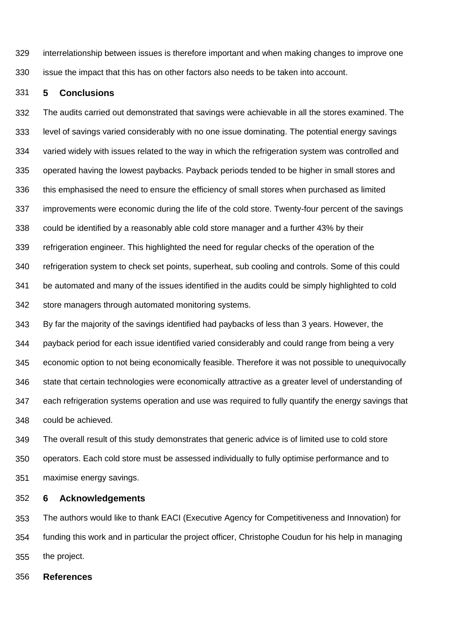329 330 interrelationship between issues is therefore important and when making changes to improve one issue the impact that this has on other factors also needs to be taken into account.

#### 331 **5 Conclusions**

332 333 334 335 336 337 338 339 340 341 342 The audits carried out demonstrated that savings were achievable in all the stores examined. The level of savings varied considerably with no one issue dominating. The potential energy savings varied widely with issues related to the way in which the refrigeration system was controlled and operated having the lowest paybacks. Payback periods tended to be higher in small stores and this emphasised the need to ensure the efficiency of small stores when purchased as limited improvements were economic during the life of the cold store. Twenty-four percent of the savings could be identified by a reasonably able cold store manager and a further 43% by their refrigeration engineer. This highlighted the need for regular checks of the operation of the refrigeration system to check set points, superheat, sub cooling and controls. Some of this could be automated and many of the issues identified in the audits could be simply highlighted to cold store managers through automated monitoring systems.

343 344 345 346 347 348 By far the majority of the savings identified had paybacks of less than 3 years. However, the payback period for each issue identified varied considerably and could range from being a very economic option to not being economically feasible. Therefore it was not possible to unequivocally state that certain technologies were economically attractive as a greater level of understanding of each refrigeration systems operation and use was required to fully quantify the energy savings that could be achieved.

349 350 351 The overall result of this study demonstrates that generic advice is of limited use to cold store operators. Each cold store must be assessed individually to fully optimise performance and to maximise energy savings.

352 **6 Acknowledgements** 

353 354 355 The authors would like to thank EACI (Executive Agency for Competitiveness and Innovation) for funding this work and in particular the project officer, Christophe Coudun for his help in managing the project.

356 **References**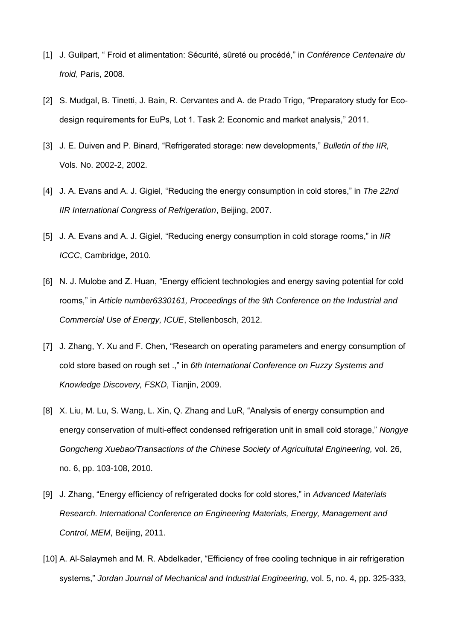- [1] J. Guilpart, " Froid et alimentation: Sécurité, sûreté ou procédé," in *Conférence Centenaire du froid*, Paris, 2008.
- [2] S. Mudgal, B. Tinetti, J. Bain, R. Cervantes and A. de Prado Trigo, "Preparatory study for Ecodesign requirements for EuPs, Lot 1. Task 2: Economic and market analysis," 2011.
- [3] J. E. Duiven and P. Binard, "Refrigerated storage: new developments," *Bulletin of the IIR,* Vols. No. 2002-2, 2002.
- [4] J. A. Evans and A. J. Gigiel, "Reducing the energy consumption in cold stores," in *The 22nd IIR International Congress of Refrigeration*, Beijing, 2007.
- [5] J. A. Evans and A. J. Gigiel, "Reducing energy consumption in cold storage rooms," in *IIR ICCC*, Cambridge, 2010.
- [6] N. J. Mulobe and Z. Huan, "Energy efficient technologies and energy saving potential for cold rooms," in *Article number6330161, Proceedings of the 9th Conference on the Industrial and Commercial Use of Energy, ICUE*, Stellenbosch, 2012.
- [7] J. Zhang, Y. Xu and F. Chen, "Research on operating parameters and energy consumption of cold store based on rough set .," in *6th International Conference on Fuzzy Systems and Knowledge Discovery, FSKD*, Tianjin, 2009.
- [8] X. Liu, M. Lu, S. Wang, L. Xin, Q. Zhang and LuR, "Analysis of energy consumption and energy conservation of multi-effect condensed refrigeration unit in small cold storage," *Nongye Gongcheng Xuebao/Transactions of the Chinese Society of Agricultutal Engineering,* vol. 26, no. 6, pp. 103-108, 2010.
- [9] J. Zhang, "Energy efficiency of refrigerated docks for cold stores," in *Advanced Materials Research. International Conference on Engineering Materials, Energy, Management and Control, MEM*, Beijing, 2011.
- [10] A. Al-Salaymeh and M. R. Abdelkader, "Efficiency of free cooling technique in air refrigeration systems," *Jordan Journal of Mechanical and Industrial Engineering,* vol. 5, no. 4, pp. 325-333,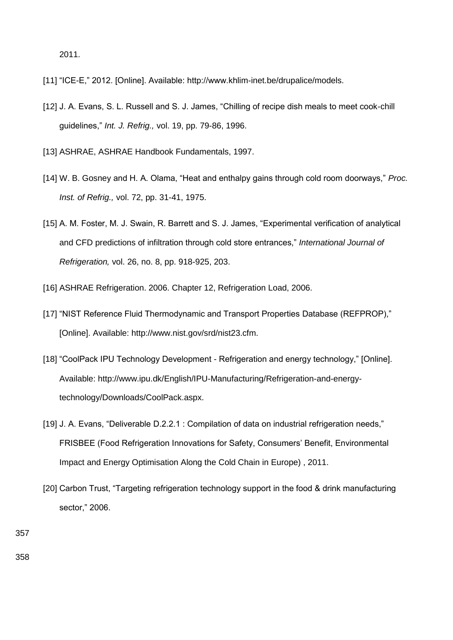```
2011.
```
- [11] "ICE-E," 2012. [Online]. Available: http://www.khlim-inet.be/drupalice/models.
- [12] J. A. Evans, S. L. Russell and S. J. James, "Chilling of recipe dish meals to meet cook-chill guidelines," *Int. J. Refrig.,* vol. 19, pp. 79-86, 1996.
- [13] ASHRAE, ASHRAE Handbook Fundamentals, 1997.
- [14] W. B. Gosney and H. A. Olama, "Heat and enthalpy gains through cold room doorways," *Proc. Inst. of Refrig.,* vol. 72, pp. 31-41, 1975.
- [15] A. M. Foster, M. J. Swain, R. Barrett and S. J. James, "Experimental verification of analytical and CFD predictions of infiltration through cold store entrances," *International Journal of Refrigeration,* vol. 26, no. 8, pp. 918-925, 203.
- [16] ASHRAE Refrigeration. 2006. Chapter 12, Refrigeration Load, 2006.
- [17] "NIST Reference Fluid Thermodynamic and Transport Properties Database (REFPROP)," [Online]. Available: http://www.nist.gov/srd/nist23.cfm.
- [18] "CoolPack IPU Technology Development Refrigeration and energy technology," [Online]. Available: http://www.ipu.dk/English/IPU-Manufacturing/Refrigeration-and-energytechnology/Downloads/CoolPack.aspx.
- [19] J. A. Evans, "Deliverable D.2.2.1 : Compilation of data on industrial refrigeration needs," FRISBEE (Food Refrigeration Innovations for Safety, Consumers' Benefit, Environmental Impact and Energy Optimisation Along the Cold Chain in Europe) , 2011.
- [20] Carbon Trust, "Targeting refrigeration technology support in the food & drink manufacturing sector," 2006.

357

358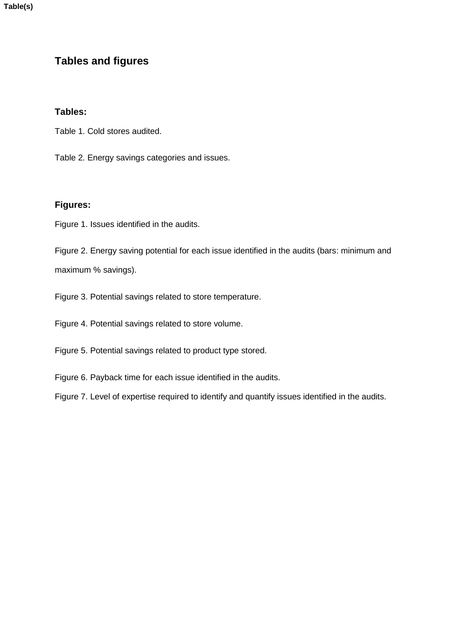**Table(s)**

# **Tables and figures**

# **Tables:**

Table 1. Cold stores audited.

Table 2. Energy savings categories and issues.

## **Figures:**

Figure 1. Issues identified in the audits.

Figure 2. Energy saving potential for each issue identified in the audits (bars: minimum and maximum % savings).

Figure 3. Potential savings related to store temperature.

Figure 4. Potential savings related to store volume.

Figure 5. Potential savings related to product type stored.

Figure 6. Payback time for each issue identified in the audits.

Figure 7. Level of expertise required to identify and quantify issues identified in the audits.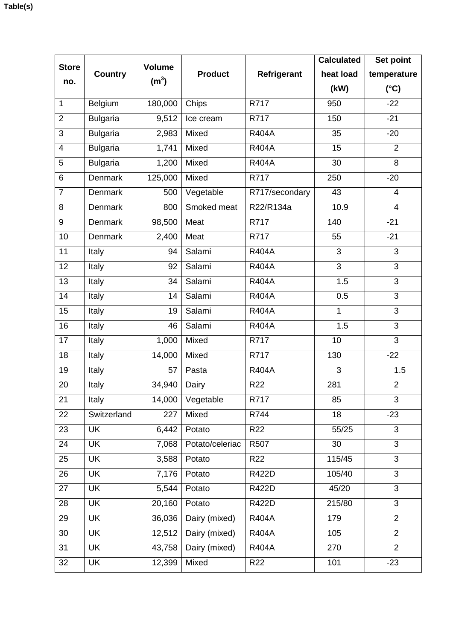| <b>Store</b>    | <b>Country</b>  | <b>Volume</b>        | <b>Product</b>  |                 | <b>Calculated</b> | Set point      |
|-----------------|-----------------|----------------------|-----------------|-----------------|-------------------|----------------|
| no.             |                 |                      |                 | Refrigerant     | heat load         | temperature    |
|                 |                 | (m <sup>3</sup> )    |                 |                 | (kW)              | $(^{\circ}C)$  |
| $\mathbf 1$     | Belgium         | 180,000              | Chips           | R717            | 950               | $-22$          |
| $\overline{2}$  | <b>Bulgaria</b> | 9,512                | Ice cream       | R717            | 150               | $-21$          |
| 3               | <b>Bulgaria</b> | 2,983                | Mixed           | <b>R404A</b>    | 35                | $-20$          |
| $\overline{4}$  | <b>Bulgaria</b> | 1,741                | Mixed           | <b>R404A</b>    | 15                | $\overline{2}$ |
| 5               | <b>Bulgaria</b> | 1,200                | Mixed           | <b>R404A</b>    | 30                | 8              |
| 6               | Denmark         | 125,000              | Mixed           | R717            | 250               | $-20$          |
| $\overline{7}$  | <b>Denmark</b>  | 500                  | Vegetable       | R717/secondary  | 43                | $\overline{4}$ |
| 8               | <b>Denmark</b>  | 800                  | Smoked meat     | R22/R134a       | 10.9              | $\overline{4}$ |
| 9               | <b>Denmark</b>  | 98,500               | Meat            | R717            | 140               | $-21$          |
| 10              | <b>Denmark</b>  | 2,400                | Meat            | R717            | 55                | $-21$          |
| 11              | Italy           | 94                   | Salami          | <b>R404A</b>    | 3                 | 3              |
| $\overline{12}$ | Italy           | 92                   | Salami          | <b>R404A</b>    | $\overline{3}$    | $\overline{3}$ |
| $\overline{13}$ | Italy           | 34                   | Salami          | <b>R404A</b>    | 1.5               | $\overline{3}$ |
| 14              | Italy           | 14                   | Salami          | <b>R404A</b>    | 0.5               | 3              |
| 15              | Italy           | 19                   | Salami          | <b>R404A</b>    | $\mathbf{1}$      | $\overline{3}$ |
| 16              | Italy           | 46                   | Salami          | <b>R404A</b>    | 1.5               | $\overline{3}$ |
| 17              | Italy           | 1,000                | Mixed           | R717            | 10                | $\overline{3}$ |
| 18              | Italy           | 14,000               | Mixed           | R717            | 130               | $-22$          |
| 19              | Italy           | 57                   | Pasta           | <b>R404A</b>    | 3                 | 1.5            |
| 20              | Italy           | 34,940               | Dairy           | R <sub>22</sub> | 281               | $\overline{2}$ |
| 21              | Italy           | 14,000               | Vegetable       | R717            | 85                | 3              |
| 22              | Switzerland     | 227                  | Mixed           | R744            | 18                | $-23$          |
| 23              | <b>UK</b>       | 6,442                | Potato          | R22             | 55/25             | 3              |
| 24              | <b>UK</b>       | 7,068                | Potato/celeriac | R507            | 30                | $\overline{3}$ |
| 25              | <b>UK</b>       | 3,588                | Potato          | R22             | 115/45            | 3              |
| 26              | <b>UK</b>       | 7,176                | Potato          | <b>R422D</b>    | 105/40            | 3              |
| 27              | <b>UK</b>       | 5,544                | Potato          | <b>R422D</b>    | 45/20             | $\overline{3}$ |
| 28              | <b>UK</b>       | 20,160               | Potato          | <b>R422D</b>    | 215/80            | 3              |
| 29              | <b>UK</b>       | 36,036               | Dairy (mixed)   | <b>R404A</b>    | 179               | $\overline{2}$ |
| 30              | <b>UK</b>       | $\overline{1}$ 2,512 | Dairy (mixed)   | <b>R404A</b>    | 105               | $\overline{2}$ |
| 31              | <b>UK</b>       | 43,758               | Dairy (mixed)   | <b>R404A</b>    | 270               | $\overline{2}$ |
| 32              | UK              | 12,399               | Mixed           | R22             | 101               | $-23$          |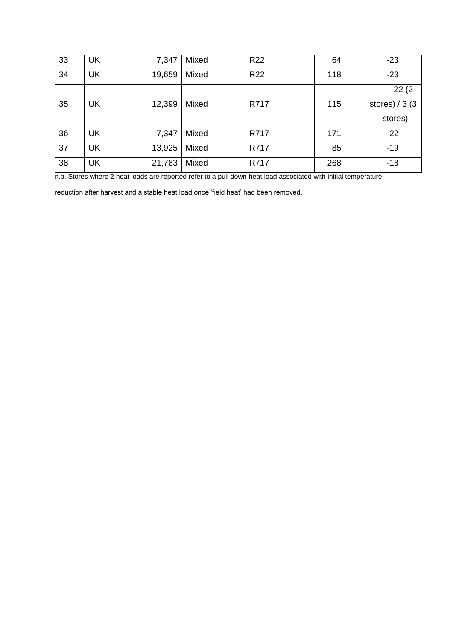| 33 | <b>UK</b> | 7,347  | Mixed | <b>R22</b> | 64  | $-23$            |
|----|-----------|--------|-------|------------|-----|------------------|
| 34 | <b>UK</b> | 19,659 | Mixed | <b>R22</b> | 118 | $-23$            |
|    |           |        |       |            |     | $-22(2)$         |
| 35 | <b>UK</b> | 12,399 | Mixed | R717       | 115 | stores) $/$ 3 (3 |
|    |           |        |       |            |     | stores)          |
| 36 | <b>UK</b> | 7,347  | Mixed | R717       | 171 | $-22$            |
| 37 | <b>UK</b> | 13,925 | Mixed | R717       | 85  | $-19$            |
| 38 | <b>UK</b> | 21,783 | Mixed | R717       | 268 | $-18$            |

n.b. Stores where 2 heat loads are reported refer to a pull down heat load associated with initial temperature

reduction after harvest and a stable heat load once 'field heat' had been removed.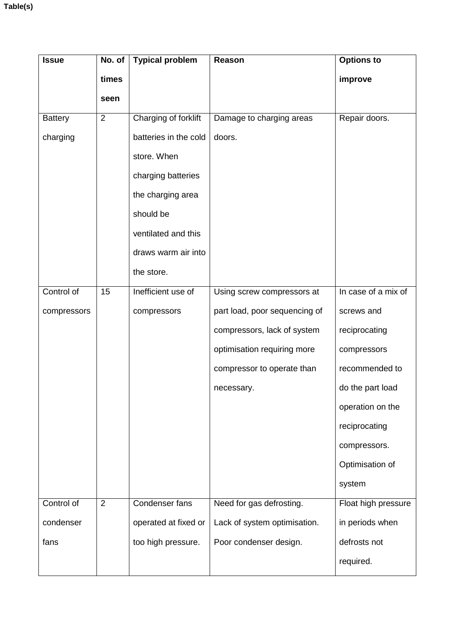| <b>Issue</b>   | No. of         | <b>Typical problem</b> | Reason                        | <b>Options to</b>   |
|----------------|----------------|------------------------|-------------------------------|---------------------|
|                | times          |                        |                               | improve             |
|                | seen           |                        |                               |                     |
| <b>Battery</b> | $\overline{2}$ | Charging of forklift   | Damage to charging areas      | Repair doors.       |
| charging       |                | batteries in the cold  | doors.                        |                     |
|                |                | store. When            |                               |                     |
|                |                | charging batteries     |                               |                     |
|                |                | the charging area      |                               |                     |
|                |                | should be              |                               |                     |
|                |                | ventilated and this    |                               |                     |
|                |                | draws warm air into    |                               |                     |
|                |                | the store.             |                               |                     |
| Control of     | 15             | Inefficient use of     | Using screw compressors at    | In case of a mix of |
| compressors    |                | compressors            | part load, poor sequencing of | screws and          |
|                |                |                        | compressors, lack of system   | reciprocating       |
|                |                |                        | optimisation requiring more   | compressors         |
|                |                |                        | compressor to operate than    | recommended to      |
|                |                |                        | necessary.                    | do the part load    |
|                |                |                        |                               | operation on the    |
|                |                |                        |                               | reciprocating       |
|                |                |                        |                               | compressors.        |
|                |                |                        |                               | Optimisation of     |
|                |                |                        |                               | system              |
| Control of     | $\overline{2}$ | Condenser fans         | Need for gas defrosting.      | Float high pressure |
| condenser      |                | operated at fixed or   | Lack of system optimisation.  | in periods when     |
| fans           |                | too high pressure.     | Poor condenser design.        | defrosts not        |
|                |                |                        |                               | required.           |
|                |                |                        |                               |                     |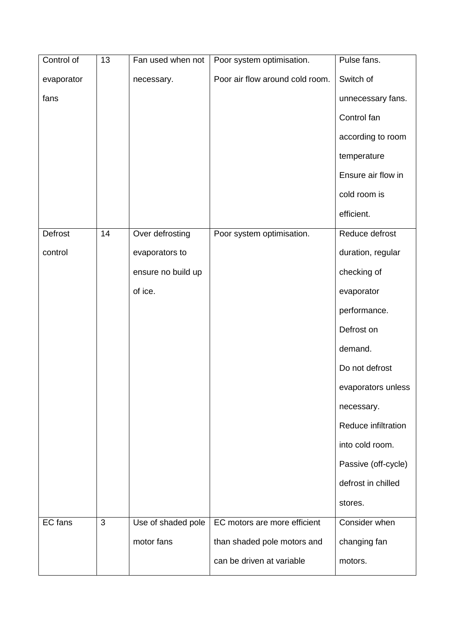| Control of | 13 | Fan used when not  | Poor system optimisation.       | Pulse fans.         |
|------------|----|--------------------|---------------------------------|---------------------|
| evaporator |    | necessary.         | Poor air flow around cold room. | Switch of           |
| fans       |    |                    |                                 | unnecessary fans.   |
|            |    |                    |                                 | Control fan         |
|            |    |                    |                                 | according to room   |
|            |    |                    |                                 | temperature         |
|            |    |                    |                                 | Ensure air flow in  |
|            |    |                    |                                 | cold room is        |
|            |    |                    |                                 | efficient.          |
| Defrost    | 14 | Over defrosting    | Poor system optimisation.       | Reduce defrost      |
| control    |    | evaporators to     |                                 | duration, regular   |
|            |    | ensure no build up |                                 | checking of         |
|            |    | of ice.            |                                 | evaporator          |
|            |    |                    |                                 | performance.        |
|            |    |                    |                                 | Defrost on          |
|            |    |                    |                                 | demand.             |
|            |    |                    |                                 | Do not defrost      |
|            |    |                    |                                 | evaporators unless  |
|            |    |                    |                                 | necessary.          |
|            |    |                    |                                 | Reduce infiltration |
|            |    |                    |                                 | into cold room.     |
|            |    |                    |                                 | Passive (off-cycle) |
|            |    |                    |                                 | defrost in chilled  |
|            |    |                    |                                 | stores.             |
| EC fans    | 3  | Use of shaded pole | EC motors are more efficient    | Consider when       |
|            |    | motor fans         | than shaded pole motors and     | changing fan        |
|            |    |                    | can be driven at variable       | motors.             |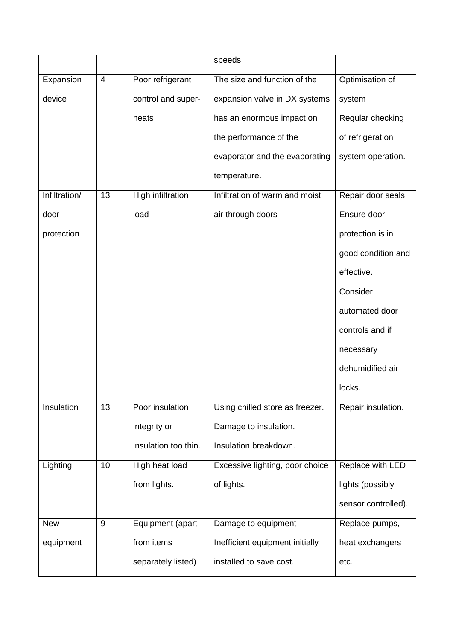|               |                |                      | speeds                          |                     |
|---------------|----------------|----------------------|---------------------------------|---------------------|
| Expansion     | $\overline{4}$ | Poor refrigerant     | The size and function of the    | Optimisation of     |
| device        |                | control and super-   | expansion valve in DX systems   | system              |
|               |                | heats                | has an enormous impact on       | Regular checking    |
|               |                |                      | the performance of the          | of refrigeration    |
|               |                |                      | evaporator and the evaporating  | system operation.   |
|               |                |                      | temperature.                    |                     |
| Infiltration/ | 13             | High infiltration    | Infiltration of warm and moist  | Repair door seals.  |
| door          |                | load                 | air through doors               | Ensure door         |
| protection    |                |                      |                                 | protection is in    |
|               |                |                      |                                 | good condition and  |
|               |                |                      |                                 | effective.          |
|               |                |                      |                                 | Consider            |
|               |                |                      |                                 | automated door      |
|               |                |                      |                                 | controls and if     |
|               |                |                      |                                 | necessary           |
|               |                |                      |                                 | dehumidified air    |
|               |                |                      |                                 | locks.              |
| Insulation    | 13             | Poor insulation      | Using chilled store as freezer. | Repair insulation.  |
|               |                | integrity or         | Damage to insulation.           |                     |
|               |                | insulation too thin. | Insulation breakdown.           |                     |
| Lighting      | 10             | High heat load       | Excessive lighting, poor choice | Replace with LED    |
|               |                | from lights.         | of lights.                      | lights (possibly    |
|               |                |                      |                                 | sensor controlled). |
| <b>New</b>    | 9              | Equipment (apart     | Damage to equipment             | Replace pumps,      |
| equipment     |                | from items           | Inefficient equipment initially | heat exchangers     |
|               |                | separately listed)   | installed to save cost.         | etc.                |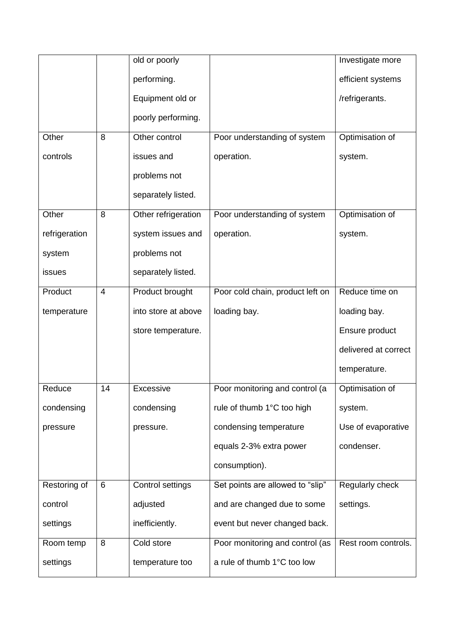|               |    | old or poorly       |                                  | Investigate more     |
|---------------|----|---------------------|----------------------------------|----------------------|
|               |    | performing.         |                                  | efficient systems    |
|               |    | Equipment old or    |                                  | /refrigerants.       |
|               |    | poorly performing.  |                                  |                      |
| Other         | 8  | Other control       | Poor understanding of system     | Optimisation of      |
| controls      |    | issues and          | operation.                       | system.              |
|               |    | problems not        |                                  |                      |
|               |    | separately listed.  |                                  |                      |
| Other         | 8  | Other refrigeration | Poor understanding of system     | Optimisation of      |
| refrigeration |    | system issues and   | operation.                       | system.              |
| system        |    | problems not        |                                  |                      |
| issues        |    | separately listed.  |                                  |                      |
| Product       | 4  | Product brought     | Poor cold chain, product left on | Reduce time on       |
| temperature   |    | into store at above | loading bay.                     | loading bay.         |
|               |    | store temperature.  |                                  | Ensure product       |
|               |    |                     |                                  | delivered at correct |
|               |    |                     |                                  | temperature.         |
| Reduce        | 14 | Excessive           | Poor monitoring and control (a   | Optimisation of      |
| condensing    |    | condensing          | rule of thumb 1°C too high       | system.              |
| pressure      |    | pressure.           | condensing temperature           | Use of evaporative   |
|               |    |                     | equals 2-3% extra power          | condenser.           |
|               |    |                     | consumption).                    |                      |
| Restoring of  | 6  | Control settings    | Set points are allowed to "slip" | Regularly check      |
| control       |    | adjusted            | and are changed due to some      | settings.            |
| settings      |    | inefficiently.      | event but never changed back.    |                      |
| Room temp     | 8  | Cold store          | Poor monitoring and control (as  | Rest room controls.  |
| settings      |    | temperature too     | a rule of thumb 1°C too low      |                      |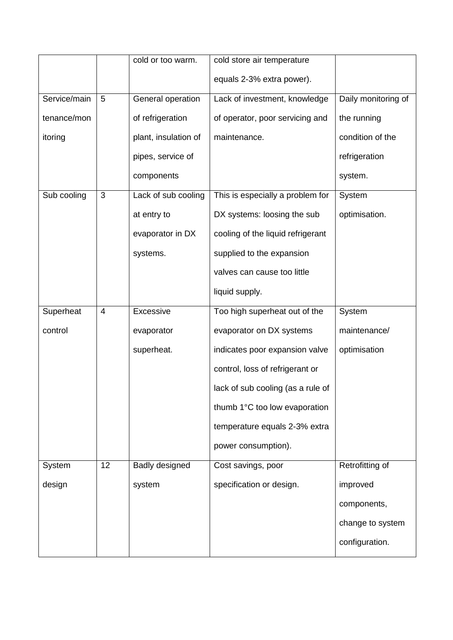|              |                | cold or too warm.    | cold store air temperature        |                     |
|--------------|----------------|----------------------|-----------------------------------|---------------------|
|              |                |                      | equals 2-3% extra power).         |                     |
| Service/main | 5              | General operation    | Lack of investment, knowledge     | Daily monitoring of |
| tenance/mon  |                | of refrigeration     | of operator, poor servicing and   | the running         |
| itoring      |                | plant, insulation of | maintenance.                      | condition of the    |
|              |                | pipes, service of    |                                   | refrigeration       |
|              |                | components           |                                   | system.             |
| Sub cooling  | 3              | Lack of sub cooling  | This is especially a problem for  | System              |
|              |                | at entry to          | DX systems: loosing the sub       | optimisation.       |
|              |                | evaporator in DX     | cooling of the liquid refrigerant |                     |
|              |                | systems.             | supplied to the expansion         |                     |
|              |                |                      | valves can cause too little       |                     |
|              |                |                      | liquid supply.                    |                     |
| Superheat    | $\overline{4}$ | Excessive            | Too high superheat out of the     | System              |
| control      |                | evaporator           | evaporator on DX systems          | maintenance/        |
|              |                | superheat.           | indicates poor expansion valve    | optimisation        |
|              |                |                      | control, loss of refrigerant or   |                     |
|              |                |                      | lack of sub cooling (as a rule of |                     |
|              |                |                      | thumb 1°C too low evaporation     |                     |
|              |                |                      | temperature equals 2-3% extra     |                     |
|              |                |                      | power consumption).               |                     |
| System       | 12             | Badly designed       | Cost savings, poor                | Retrofitting of     |
| design       |                | system               | specification or design.          | improved            |
|              |                |                      |                                   | components,         |
|              |                |                      |                                   | change to system    |
|              |                |                      |                                   | configuration.      |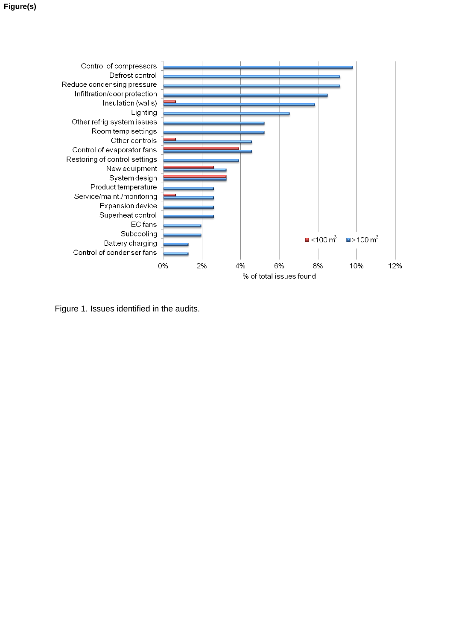

Figure 1. Issues identified in the audits.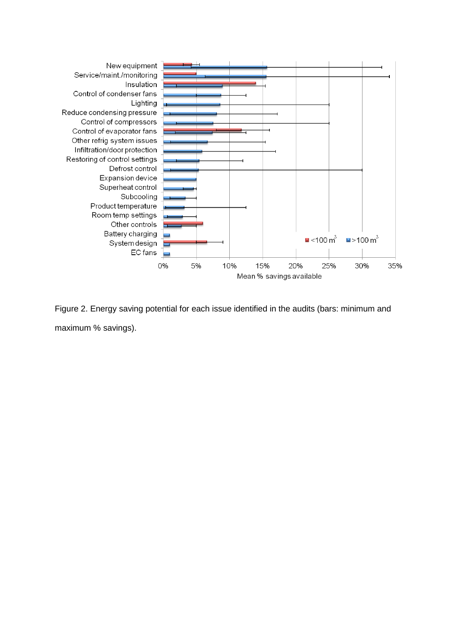

Figure 2. Energy saving potential for each issue identified in the audits (bars: minimum and maximum % savings).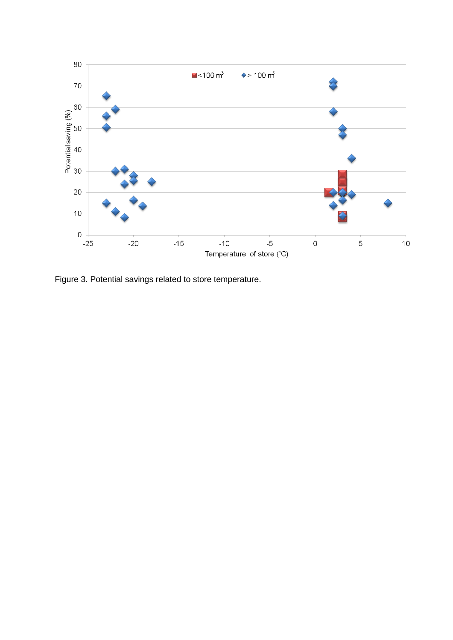

Figure 3. Potential savings related to store temperature.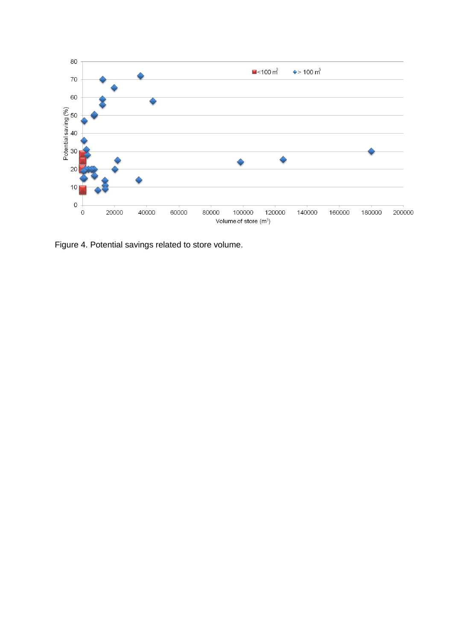

Figure 4. Potential savings related to store volume.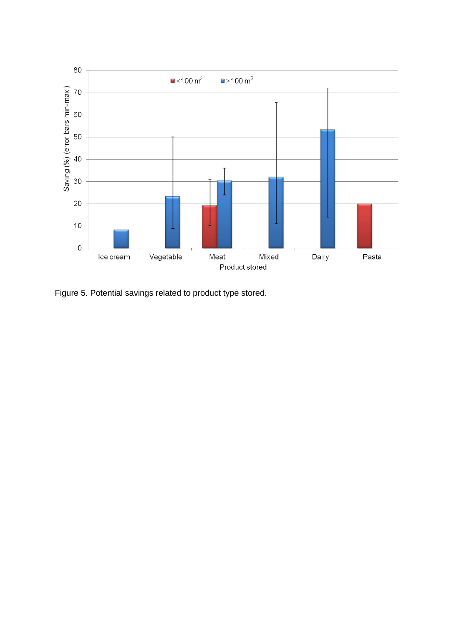

Figure 5. Potential savings related to product type stored.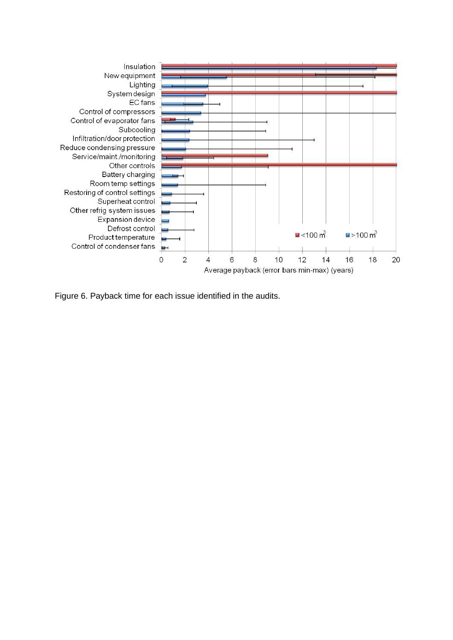

Figure 6. Payback time for each issue identified in the audits.